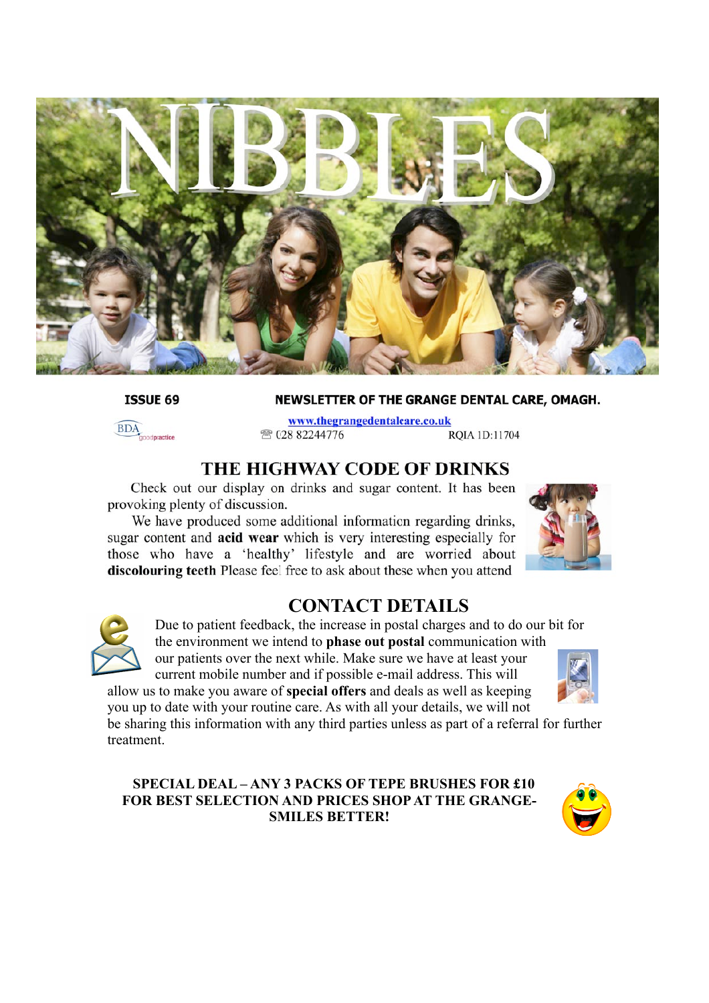

ISSUE 69

doractice

**BDA** 

### NEWSLETTER OF THE GRANGE DENTAL CARE, OMAGH.

www.thegrangedentalcare.co.uk ☎ 028 82244776 ROIA 1D:11704

### THE HIGHWAY CODE OF DRINKS

Check out our display on drinks and sugar content. It has been provoking plenty of discussion.

We have produced some additional information regarding drinks, sugar content and **acid wear** which is very interesting especially for those who have a 'healthy' lifestyle and are worried about discolouring teeth Please feel free to ask about these when you attend





### **CONTACT DETAILS**

Due to patient feedback, the increase in postal charges and to do our bit for the environment we intend to **phase out postal** communication with

our patients over the next while. Make sure we have at least your current mobile number and if possible e-mail address. This will allow us to make you aware of **special offers** and deals as well as keeping you up to date with your routine care. As with all your details, we will not



be sharing this information with any third parties unless as part of a referral for further treatment.

**SPECIAL DEAL – ANY 3 PACKS OF TEPE BRUSHES FOR £10 FOR BEST SELECTION AND PRICES SHOP AT THE GRANGE-SMILES BETTER!**